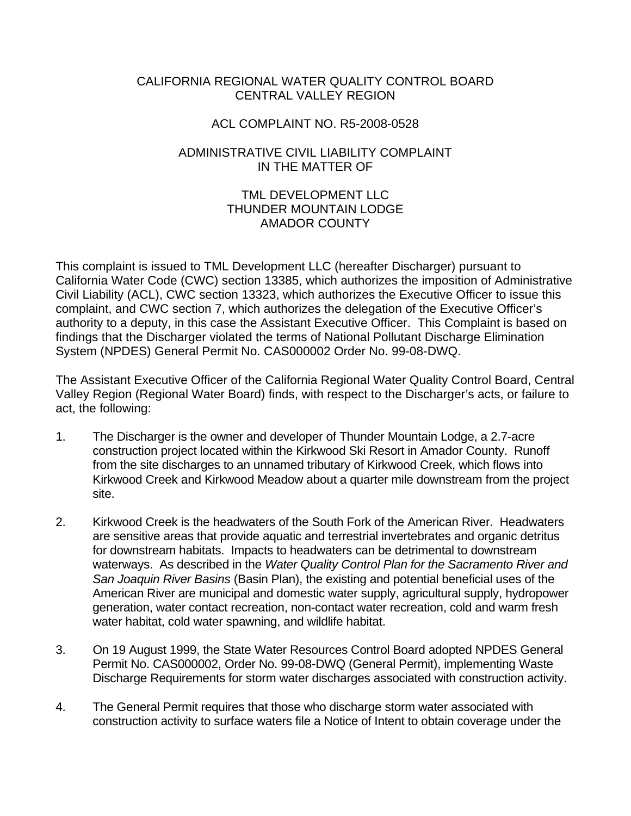## CALIFORNIA REGIONAL WATER QUALITY CONTROL BOARD CENTRAL VALLEY REGION

## ACL COMPLAINT NO. R5-2008-0528

### ADMINISTRATIVE CIVIL LIABILITY COMPLAINT IN THE MATTER OF

## TML DEVELOPMENT LLC THUNDER MOUNTAIN LODGE AMADOR COUNTY

This complaint is issued to TML Development LLC (hereafter Discharger) pursuant to California Water Code (CWC) section 13385, which authorizes the imposition of Administrative Civil Liability (ACL), CWC section 13323, which authorizes the Executive Officer to issue this complaint, and CWC section 7, which authorizes the delegation of the Executive Officer's authority to a deputy, in this case the Assistant Executive Officer. This Complaint is based on findings that the Discharger violated the terms of National Pollutant Discharge Elimination System (NPDES) General Permit No. CAS000002 Order No. 99-08-DWQ.

The Assistant Executive Officer of the California Regional Water Quality Control Board, Central Valley Region (Regional Water Board) finds, with respect to the Discharger's acts, or failure to act, the following:

- 1. The Discharger is the owner and developer of Thunder Mountain Lodge, a 2.7-acre construction project located within the Kirkwood Ski Resort in Amador County. Runoff from the site discharges to an unnamed tributary of Kirkwood Creek, which flows into Kirkwood Creek and Kirkwood Meadow about a quarter mile downstream from the project site.
- 2. Kirkwood Creek is the headwaters of the South Fork of the American River. Headwaters are sensitive areas that provide aquatic and terrestrial invertebrates and organic detritus for downstream habitats. Impacts to headwaters can be detrimental to downstream waterways. As described in the *Water Quality Control Plan for the Sacramento River and San Joaquin River Basins* (Basin Plan), the existing and potential beneficial uses of the American River are municipal and domestic water supply, agricultural supply, hydropower generation, water contact recreation, non-contact water recreation, cold and warm fresh water habitat, cold water spawning, and wildlife habitat.
- 3. On 19 August 1999, the State Water Resources Control Board adopted NPDES General Permit No. CAS000002, Order No. 99-08-DWQ (General Permit), implementing Waste Discharge Requirements for storm water discharges associated with construction activity.
- 4. The General Permit requires that those who discharge storm water associated with construction activity to surface waters file a Notice of Intent to obtain coverage under the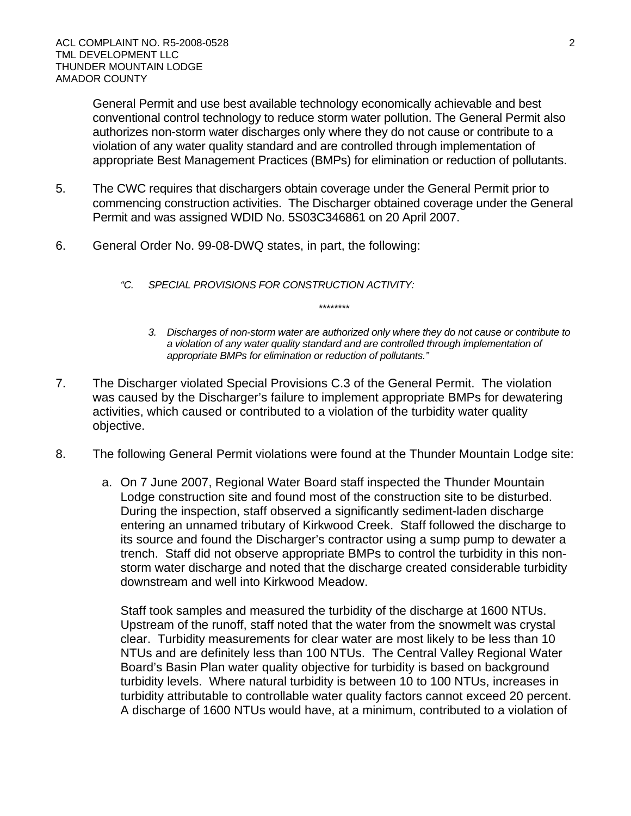General Permit and use best available technology economically achievable and best conventional control technology to reduce storm water pollution. The General Permit also authorizes non-storm water discharges only where they do not cause or contribute to a violation of any water quality standard and are controlled through implementation of appropriate Best Management Practices (BMPs) for elimination or reduction of pollutants.

- 5. The CWC requires that dischargers obtain coverage under the General Permit prior to commencing construction activities. The Discharger obtained coverage under the General Permit and was assigned WDID No. 5S03C346861 on 20 April 2007.
- 6. General Order No. 99-08-DWQ states, in part, the following:
	- *"C. SPECIAL PROVISIONS FOR CONSTRUCTION ACTIVITY:* 
		- *3. Discharges of non-storm water are authorized only where they do not cause or contribute to a violation of any water quality standard and are controlled through implementation of appropriate BMPs for elimination or reduction of pollutants."*

*\*\*\*\*\*\*\*\** 

- 7. The Discharger violated Special Provisions C.3 of the General Permit. The violation was caused by the Discharger's failure to implement appropriate BMPs for dewatering activities, which caused or contributed to a violation of the turbidity water quality objective.
- 8. The following General Permit violations were found at the Thunder Mountain Lodge site:
	- a. On 7 June 2007, Regional Water Board staff inspected the Thunder Mountain Lodge construction site and found most of the construction site to be disturbed. During the inspection, staff observed a significantly sediment-laden discharge entering an unnamed tributary of Kirkwood Creek. Staff followed the discharge to its source and found the Discharger's contractor using a sump pump to dewater a trench. Staff did not observe appropriate BMPs to control the turbidity in this nonstorm water discharge and noted that the discharge created considerable turbidity downstream and well into Kirkwood Meadow.

Staff took samples and measured the turbidity of the discharge at 1600 NTUs. Upstream of the runoff, staff noted that the water from the snowmelt was crystal clear. Turbidity measurements for clear water are most likely to be less than 10 NTUs and are definitely less than 100 NTUs. The Central Valley Regional Water Board's Basin Plan water quality objective for turbidity is based on background turbidity levels. Where natural turbidity is between 10 to 100 NTUs, increases in turbidity attributable to controllable water quality factors cannot exceed 20 percent. A discharge of 1600 NTUs would have, at a minimum, contributed to a violation of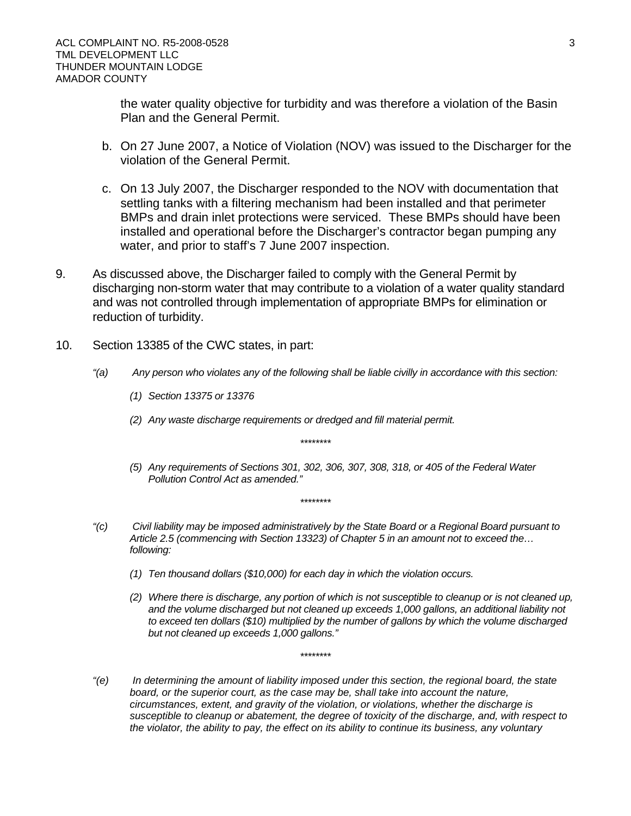the water quality objective for turbidity and was therefore a violation of the Basin Plan and the General Permit.

- b. On 27 June 2007, a Notice of Violation (NOV) was issued to the Discharger for the violation of the General Permit.
- c. On 13 July 2007, the Discharger responded to the NOV with documentation that settling tanks with a filtering mechanism had been installed and that perimeter BMPs and drain inlet protections were serviced. These BMPs should have been installed and operational before the Discharger's contractor began pumping any water, and prior to staff's 7 June 2007 inspection.
- 9. As discussed above, the Discharger failed to comply with the General Permit by discharging non-storm water that may contribute to a violation of a water quality standard and was not controlled through implementation of appropriate BMPs for elimination or reduction of turbidity.
- 10. Section 13385 of the CWC states, in part:
	- *"(a) Any person who violates any of the following shall be liable civilly in accordance with this section:*

*\*\*\*\*\*\*\*\** 

*\*\*\*\*\*\*\*\** 

- *(1) Section 13375 or 13376*
- *(2) Any waste discharge requirements or dredged and fill material permit.*
- *(5) Any requirements of Sections 301, 302, 306, 307, 308, 318, or 405 of the Federal Water Pollution Control Act as amended."*
- *"(c) Civil liability may be imposed administratively by the State Board or a Regional Board pursuant to Article 2.5 (commencing with Section 13323) of Chapter 5 in an amount not to exceed the… following:* 
	- *(1) Ten thousand dollars (\$10,000) for each day in which the violation occurs.*
	- *(2) Where there is discharge, any portion of which is not susceptible to cleanup or is not cleaned up, and the volume discharged but not cleaned up exceeds 1,000 gallons, an additional liability not to exceed ten dollars (\$10) multiplied by the number of gallons by which the volume discharged but not cleaned up exceeds 1,000 gallons."*

*"(e) In determining the amount of liability imposed under this section, the regional board, the state*  board, or the superior court, as the case may be, shall take into account the nature, *circumstances, extent, and gravity of the violation, or violations, whether the discharge is susceptible to cleanup or abatement, the degree of toxicity of the discharge, and, with respect to the violator, the ability to pay, the effect on its ability to continue its business, any voluntary* 

*\*\*\*\*\*\*\*\**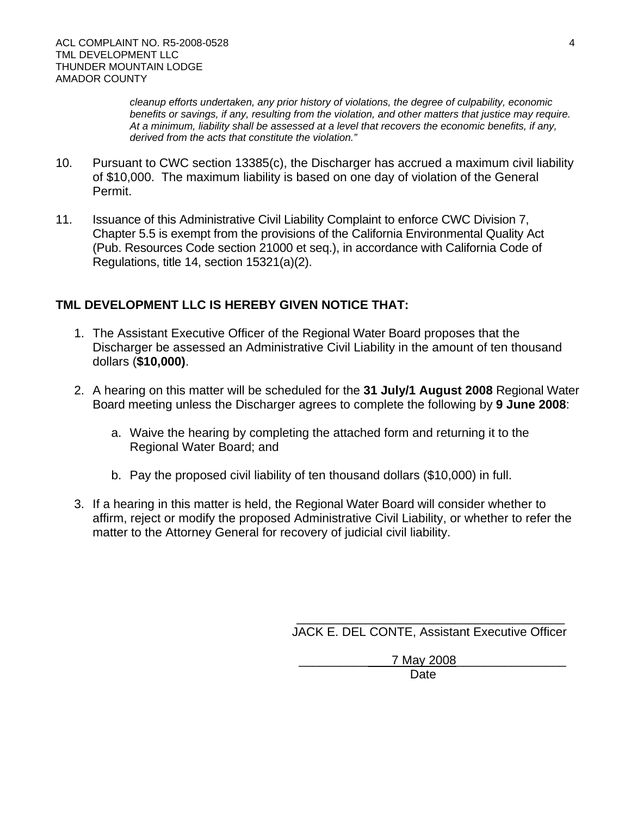*cleanup efforts undertaken, any prior history of violations, the degree of culpability, economic benefits or savings, if any, resulting from the violation, and other matters that justice may require. At a minimum, liability shall be assessed at a level that recovers the economic benefits, if any, derived from the acts that constitute the violation."* 

- 10. Pursuant to CWC section 13385(c), the Discharger has accrued a maximum civil liability of \$10,000. The maximum liability is based on one day of violation of the General Permit.
- 11. Issuance of this Administrative Civil Liability Complaint to enforce CWC Division 7, Chapter 5.5 is exempt from the provisions of the California Environmental Quality Act (Pub. Resources Code section 21000 et seq.), in accordance with California Code of Regulations, title 14, section 15321(a)(2).

# **TML DEVELOPMENT LLC IS HEREBY GIVEN NOTICE THAT:**

- 1. The Assistant Executive Officer of the Regional Water Board proposes that the Discharger be assessed an Administrative Civil Liability in the amount of ten thousand dollars (**\$10,000)**.
- 2. A hearing on this matter will be scheduled for the **31 July/1 August 2008** Regional Water Board meeting unless the Discharger agrees to complete the following by **9 June 2008**:
	- a. Waive the hearing by completing the attached form and returning it to the Regional Water Board; and
	- b. Pay the proposed civil liability of ten thousand dollars (\$10,000) in full.
- 3. If a hearing in this matter is held, the Regional Water Board will consider whether to affirm, reject or modify the proposed Administrative Civil Liability, or whether to refer the matter to the Attorney General for recovery of judicial civil liability.

\_\_\_\_\_\_\_\_\_\_\_\_\_\_\_\_\_\_\_\_\_\_\_\_\_\_\_\_\_\_\_\_\_\_\_\_\_\_\_ JACK E. DEL CONTE, Assistant Executive Officer

\_\_\_\_\_\_\_\_\_\_ 7 May 2008\_\_\_\_\_\_\_\_\_\_\_\_\_\_\_\_

<u>Date</u> and the contract of the contract of the contract of the contract of the contract of the contract of the con